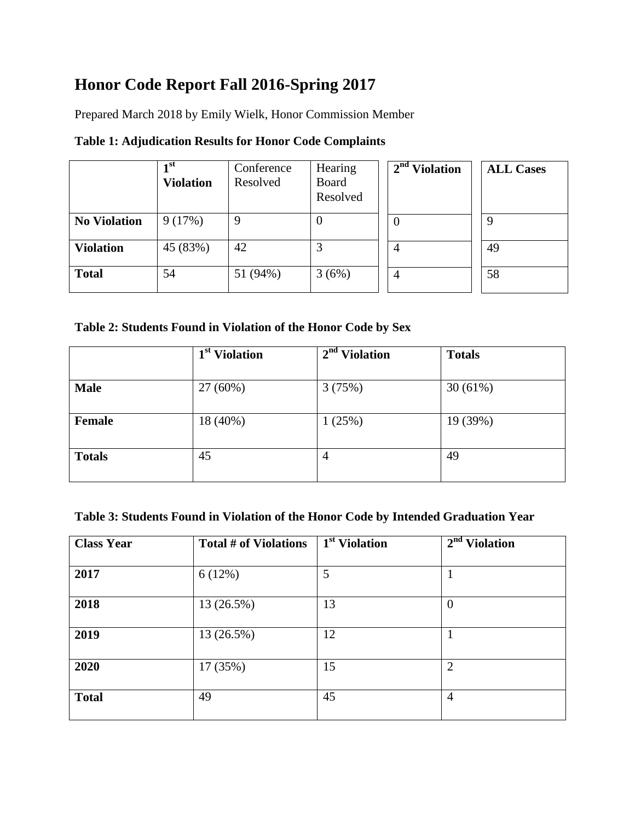## **Honor Code Report Fall 2016-Spring 2017**

Prepared March 2018 by Emily Wielk, Honor Commission Member

|                     | 1st<br><b>Violation</b> | Conference<br>Resolved | Hearing<br>Board<br>Resolved | $2nd$ Violation | <b>ALL Cases</b> |
|---------------------|-------------------------|------------------------|------------------------------|-----------------|------------------|
| <b>No Violation</b> | 9(17%)                  | $\mathbf Q$            |                              | $\theta$        | Q                |
| <b>Violation</b>    | 45 (83%)                | 42                     |                              | 4               | 49               |
| <b>Total</b>        | 54                      | 51 (94%)               | 3(6%)                        | $\overline{4}$  | 58               |

**Table 2: Students Found in Violation of the Honor Code by Sex**

|               | 1 <sup>st</sup> Violation | $2nd$ Violation | <b>Totals</b> |
|---------------|---------------------------|-----------------|---------------|
|               |                           |                 |               |
| <b>Male</b>   | 27 (60%)                  | 3(75%)          | 30(61%)       |
|               |                           |                 |               |
| Female        | 18 (40%)                  | 1(25%)          | 19 (39%)      |
|               |                           |                 |               |
| <b>Totals</b> | 45                        | $\overline{4}$  | 49            |
|               |                           |                 |               |

## **Table 3: Students Found in Violation of the Honor Code by Intended Graduation Year**

| <b>Class Year</b> | Total # of Violations | 1 <sup>st</sup> Violation | $2nd$ Violation |
|-------------------|-----------------------|---------------------------|-----------------|
| 2017              | 6(12%)                | 5                         |                 |
| 2018              | 13 (26.5%)            | 13                        | $\overline{0}$  |
| 2019              | 13 (26.5%)            | 12                        |                 |
| 2020              | 17 (35%)              | 15                        | $\overline{2}$  |
| <b>Total</b>      | 49                    | 45                        | $\overline{4}$  |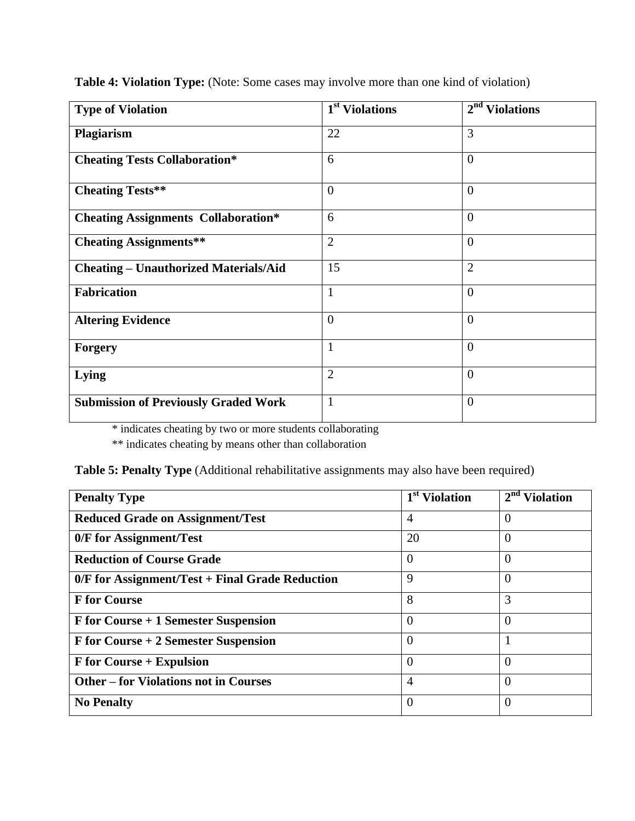| <b>Type of Violation</b>                     | 1 <sup>st</sup> Violations | 2 <sup>nd</sup><br><b>Violations</b> |
|----------------------------------------------|----------------------------|--------------------------------------|
| Plagiarism                                   | 22                         | 3                                    |
| <b>Cheating Tests Collaboration*</b>         | 6                          | $\overline{0}$                       |
| <b>Cheating Tests**</b>                      | $\theta$                   | $\theta$                             |
| <b>Cheating Assignments Collaboration*</b>   | 6                          | $\overline{0}$                       |
| <b>Cheating Assignments**</b>                | $\overline{2}$             | $\overline{0}$                       |
| <b>Cheating - Unauthorized Materials/Aid</b> | 15                         | $\overline{2}$                       |
| <b>Fabrication</b>                           |                            | $\overline{0}$                       |
| <b>Altering Evidence</b>                     | $\overline{0}$             | $\theta$                             |
| <b>Forgery</b>                               | 1                          | $\theta$                             |
| Lying                                        | $\overline{2}$             | $\Omega$                             |
| <b>Submission of Previously Graded Work</b>  | 1                          | $\theta$                             |

**Table 4: Violation Type:** (Note: Some cases may involve more than one kind of violation)

\* indicates cheating by two or more students collaborating

\*\* indicates cheating by means other than collaboration

| Table 5: Penalty Type (Additional rehabilitative assignments may also have been required) |  |  |  |  |
|-------------------------------------------------------------------------------------------|--|--|--|--|
|                                                                                           |  |  |  |  |

| <b>Penalty Type</b>                               | 1 <sup>st</sup> Violation | $2nd$ Violation |
|---------------------------------------------------|---------------------------|-----------------|
| <b>Reduced Grade on Assignment/Test</b>           | $\overline{4}$            | $\overline{0}$  |
| 0/F for Assignment/Test                           | 20                        | $\Omega$        |
| <b>Reduction of Course Grade</b>                  | $\overline{0}$            | $\overline{0}$  |
| $0/F$ for Assignment/Test + Final Grade Reduction | 9                         | $\Omega$        |
| <b>F</b> for Course                               | 8                         | 3               |
| F for Course + 1 Semester Suspension              | $\Omega$                  | $\Omega$        |
| F for Course + 2 Semester Suspension              | $\Omega$                  |                 |
| <b>F</b> for Course + Expulsion                   | $\overline{0}$            | $\overline{0}$  |
| <b>Other – for Violations not in Courses</b>      | $\overline{4}$            | $\overline{0}$  |
| <b>No Penalty</b>                                 | $\theta$                  | $\theta$        |